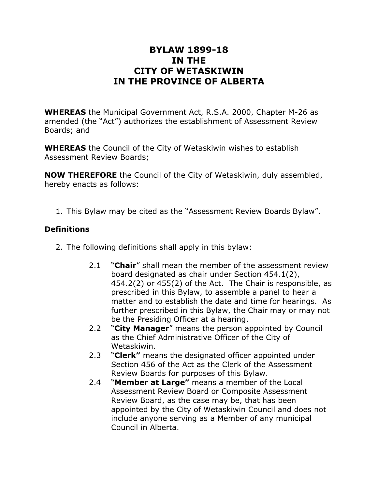# **BYLAW 1899-18 IN THE CITY OF WETASKIWIN IN THE PROVINCE OF ALBERTA**

**WHEREAS** the Municipal Government Act, R.S.A. 2000, Chapter M-26 as amended (the "Act") authorizes the establishment of Assessment Review Boards; and

**WHEREAS** the Council of the City of Wetaskiwin wishes to establish Assessment Review Boards;

**NOW THEREFORE** the Council of the City of Wetaskiwin, duly assembled, hereby enacts as follows:

1. This Bylaw may be cited as the "Assessment Review Boards Bylaw".

# **Definitions**

- 2. The following definitions shall apply in this bylaw:
	- 2.1 "**Chair**" shall mean the member of the assessment review board designated as chair under Section 454.1(2), 454.2(2) or 455(2) of the Act. The Chair is responsible, as prescribed in this Bylaw, to assemble a panel to hear a matter and to establish the date and time for hearings. As further prescribed in this Bylaw, the Chair may or may not be the Presiding Officer at a hearing.
	- 2.2 "**City Manager**" means the person appointed by Council as the Chief Administrative Officer of the City of Wetaskiwin.
	- 2.3 "**Clerk"** means the designated officer appointed under Section 456 of the Act as the Clerk of the Assessment Review Boards for purposes of this Bylaw.
	- 2.4 "**Member at Large"** means a member of the Local Assessment Review Board or Composite Assessment Review Board, as the case may be, that has been appointed by the City of Wetaskiwin Council and does not include anyone serving as a Member of any municipal Council in Alberta.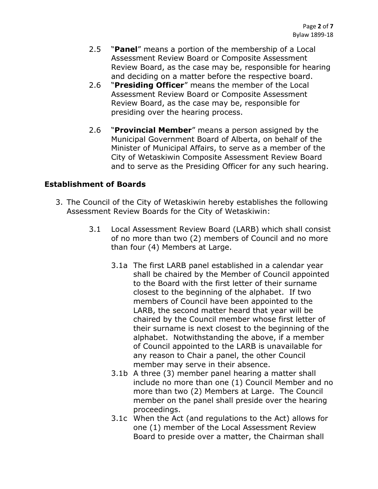- 2.5 "**Panel**" means a portion of the membership of a Local Assessment Review Board or Composite Assessment Review Board, as the case may be, responsible for hearing and deciding on a matter before the respective board.
- 2.6 "**Presiding Officer**" means the member of the Local Assessment Review Board or Composite Assessment Review Board, as the case may be, responsible for presiding over the hearing process.
- 2.6 "**Provincial Member**" means a person assigned by the Municipal Government Board of Alberta, on behalf of the Minister of Municipal Affairs, to serve as a member of the City of Wetaskiwin Composite Assessment Review Board and to serve as the Presiding Officer for any such hearing.

#### **Establishment of Boards**

- 3. The Council of the City of Wetaskiwin hereby establishes the following Assessment Review Boards for the City of Wetaskiwin:
	- 3.1 Local Assessment Review Board (LARB) which shall consist of no more than two (2) members of Council and no more than four (4) Members at Large.
		- 3.1a The first LARB panel established in a calendar year shall be chaired by the Member of Council appointed to the Board with the first letter of their surname closest to the beginning of the alphabet. If two members of Council have been appointed to the LARB, the second matter heard that year will be chaired by the Council member whose first letter of their surname is next closest to the beginning of the alphabet. Notwithstanding the above, if a member of Council appointed to the LARB is unavailable for any reason to Chair a panel, the other Council member may serve in their absence.
		- 3.1b A three (3) member panel hearing a matter shall include no more than one (1) Council Member and no more than two (2) Members at Large. The Council member on the panel shall preside over the hearing proceedings.
		- 3.1c When the Act (and regulations to the Act) allows for one (1) member of the Local Assessment Review Board to preside over a matter, the Chairman shall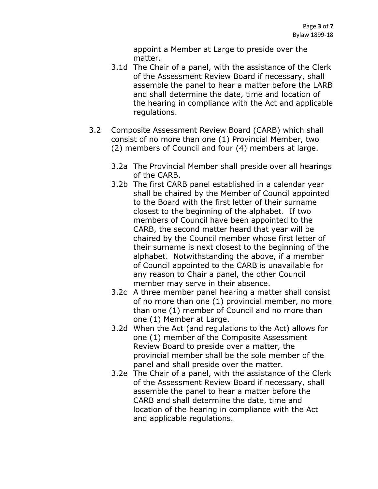appoint a Member at Large to preside over the matter.

- 3.1d The Chair of a panel, with the assistance of the Clerk of the Assessment Review Board if necessary, shall assemble the panel to hear a matter before the LARB and shall determine the date, time and location of the hearing in compliance with the Act and applicable regulations.
- 3.2 Composite Assessment Review Board (CARB) which shall consist of no more than one (1) Provincial Member, two (2) members of Council and four (4) members at large.
	- 3.2a The Provincial Member shall preside over all hearings of the CARB.
	- 3.2b The first CARB panel established in a calendar year shall be chaired by the Member of Council appointed to the Board with the first letter of their surname closest to the beginning of the alphabet. If two members of Council have been appointed to the CARB, the second matter heard that year will be chaired by the Council member whose first letter of their surname is next closest to the beginning of the alphabet. Notwithstanding the above, if a member of Council appointed to the CARB is unavailable for any reason to Chair a panel, the other Council member may serve in their absence.
	- 3.2c A three member panel hearing a matter shall consist of no more than one (1) provincial member, no more than one (1) member of Council and no more than one (1) Member at Large.
	- 3.2d When the Act (and regulations to the Act) allows for one (1) member of the Composite Assessment Review Board to preside over a matter, the provincial member shall be the sole member of the panel and shall preside over the matter.
	- 3.2e The Chair of a panel, with the assistance of the Clerk of the Assessment Review Board if necessary, shall assemble the panel to hear a matter before the CARB and shall determine the date, time and location of the hearing in compliance with the Act and applicable regulations.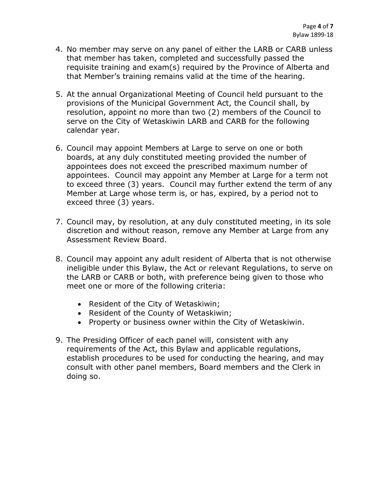- 4. No member may serve on any panel of either the LARB or CARB unless that member has taken, completed and successfully passed the requisite training and exam(s) required by the Province of Alberta and that Member's training remains valid at the time of the hearing.
- 5. At the annual Organizational Meeting of Council held pursuant to the provisions of the Municipal Government Act, the Council shall, by resolution, appoint no more than two (2) members of the Council to serve on the City of Wetaskiwin LARB and CARB for the following calendar year.
- 6. Council may appoint Members at Large to serve on one or both boards, at any duly constituted meeting provided the number of appointees does not exceed the prescribed maximum number of appointees. Council may appoint any Member at Large for a term not to exceed three (3) years. Council may further extend the term of any Member at Large whose term is, or has, expired, by a period not to exceed three (3) years.
- 7. Council may, by resolution, at any duly constituted meeting, in its sole discretion and without reason, remove any Member at Large from any Assessment Review Board.
- 8. Council may appoint any adult resident of Alberta that is not otherwise ineligible under this Bylaw, the Act or relevant Regulations, to serve on the LARB or CARB or both, with preference being given to those who meet one or more of the following criteria:
	- Resident of the City of Wetaskiwin;
	- Resident of the County of Wetaskiwin;
	- Property or business owner within the City of Wetaskiwin.
- 9. The Presiding Officer of each panel will, consistent with any requirements of the Act, this Bylaw and applicable regulations, establish procedures to be used for conducting the hearing, and may consult with other panel members, Board members and the Clerk in doing so.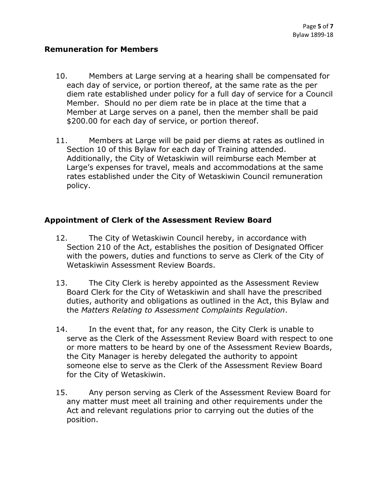#### **Remuneration for Members**

- 10. Members at Large serving at a hearing shall be compensated for each day of service, or portion thereof, at the same rate as the per diem rate established under policy for a full day of service for a Council Member. Should no per diem rate be in place at the time that a Member at Large serves on a panel, then the member shall be paid \$200.00 for each day of service, or portion thereof.
- 11. Members at Large will be paid per diems at rates as outlined in Section 10 of this Bylaw for each day of Training attended. Additionally, the City of Wetaskiwin will reimburse each Member at Large's expenses for travel, meals and accommodations at the same rates established under the City of Wetaskiwin Council remuneration policy.

### **Appointment of Clerk of the Assessment Review Board**

- 12. The City of Wetaskiwin Council hereby, in accordance with Section 210 of the Act, establishes the position of Designated Officer with the powers, duties and functions to serve as Clerk of the City of Wetaskiwin Assessment Review Boards.
- 13. The City Clerk is hereby appointed as the Assessment Review Board Clerk for the City of Wetaskiwin and shall have the prescribed duties, authority and obligations as outlined in the Act, this Bylaw and the *Matters Relating to Assessment Complaints Regulation*.
- 14. In the event that, for any reason, the City Clerk is unable to serve as the Clerk of the Assessment Review Board with respect to one or more matters to be heard by one of the Assessment Review Boards, the City Manager is hereby delegated the authority to appoint someone else to serve as the Clerk of the Assessment Review Board for the City of Wetaskiwin.
- 15. Any person serving as Clerk of the Assessment Review Board for any matter must meet all training and other requirements under the Act and relevant regulations prior to carrying out the duties of the position.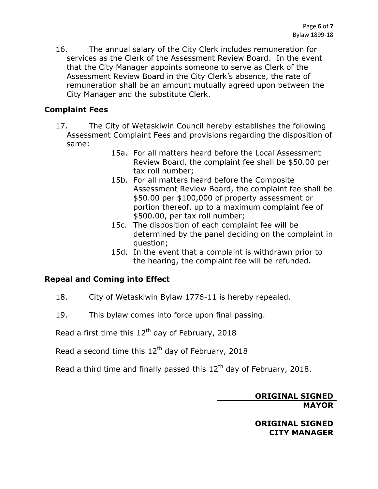16. The annual salary of the City Clerk includes remuneration for services as the Clerk of the Assessment Review Board. In the event that the City Manager appoints someone to serve as Clerk of the Assessment Review Board in the City Clerk's absence, the rate of remuneration shall be an amount mutually agreed upon between the City Manager and the substitute Clerk.

#### **Complaint Fees**

- 17. The City of Wetaskiwin Council hereby establishes the following Assessment Complaint Fees and provisions regarding the disposition of same:
	- 15a. For all matters heard before the Local Assessment Review Board, the complaint fee shall be \$50.00 per tax roll number;
	- 15b. For all matters heard before the Composite Assessment Review Board, the complaint fee shall be \$50.00 per \$100,000 of property assessment or portion thereof, up to a maximum complaint fee of \$500.00, per tax roll number;
	- 15c. The disposition of each complaint fee will be determined by the panel deciding on the complaint in question;
	- 15d. In the event that a complaint is withdrawn prior to the hearing, the complaint fee will be refunded.

# **Repeal and Coming into Effect**

- 18. City of Wetaskiwin Bylaw 1776-11 is hereby repealed.
- 19. This bylaw comes into force upon final passing.

Read a first time this  $12<sup>th</sup>$  day of February, 2018

Read a second time this  $12<sup>th</sup>$  day of February, 2018

Read a third time and finally passed this  $12<sup>th</sup>$  day of February, 2018.

### **ORIGINAL SIGNED MAYOR**

**ORIGINAL SIGNED CITY MANAGER**